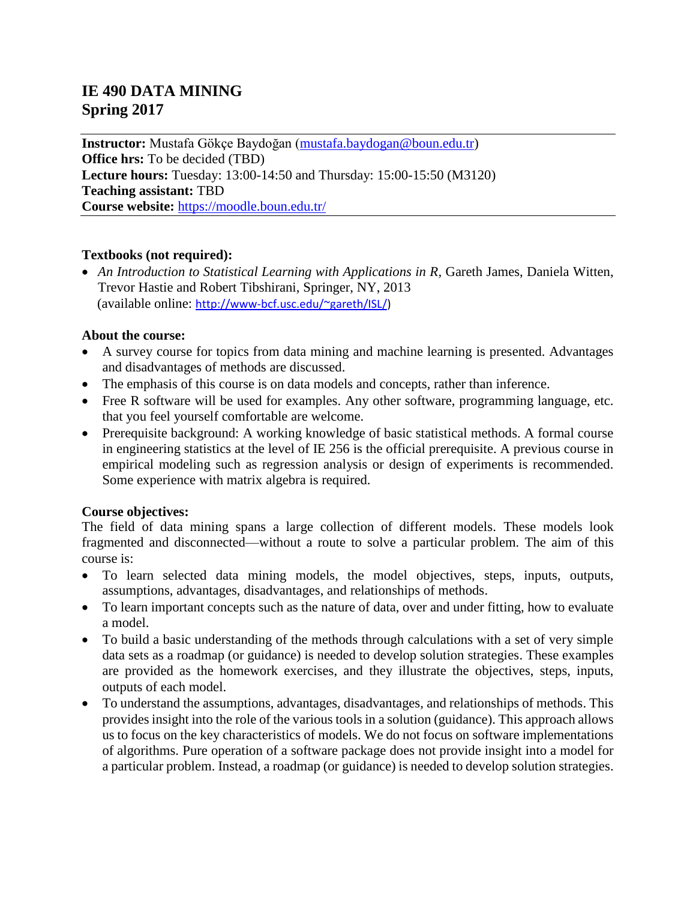# **IE 490 DATA MINING Spring 2017**

**Instructor:** Mustafa Gökçe Baydoğan [\(mustafa.baydogan@boun.edu.tr\)](mailto:mustafa.baydogan@boun.edu.tr) **Office hrs:** To be decided (TBD) **Lecture hours:** Tuesday: 13:00-14:50 and Thursday: 15:00-15:50 (M3120) **Teaching assistant:** TBD **Course website:** [https://moodle.boun.edu.tr/](https://moodle.boun.edu.tr/login/index.php)

#### **Textbooks (not required):**

• An Introduction to Statistical Learning with Applications in R, Gareth James, Daniela Witten, Trevor Hastie and Robert Tibshirani, Springer, NY, 2013 (available online: [http://www-bcf.usc.edu/~gareth/ISL/\)](http://www-bcf.usc.edu/~gareth/ISL/)

#### **About the course:**

- A survey course for topics from data mining and machine learning is presented. Advantages and disadvantages of methods are discussed.
- The emphasis of this course is on data models and concepts, rather than inference.
- Free R software will be used for examples. Any other software, programming language, etc. that you feel yourself comfortable are welcome.
- Prerequisite background: A working knowledge of basic statistical methods. A formal course in engineering statistics at the level of IE 256 is the official prerequisite. A previous course in empirical modeling such as regression analysis or design of experiments is recommended. Some experience with matrix algebra is required.

### **Course objectives:**

The field of data mining spans a large collection of different models. These models look fragmented and disconnected—without a route to solve a particular problem. The aim of this course is:

- To learn selected data mining models, the model objectives, steps, inputs, outputs, assumptions, advantages, disadvantages, and relationships of methods.
- To learn important concepts such as the nature of data, over and under fitting, how to evaluate a model.
- To build a basic understanding of the methods through calculations with a set of very simple data sets as a roadmap (or guidance) is needed to develop solution strategies. These examples are provided as the homework exercises, and they illustrate the objectives, steps, inputs, outputs of each model.
- To understand the assumptions, advantages, disadvantages, and relationships of methods. This provides insight into the role of the various tools in a solution (guidance). This approach allows us to focus on the key characteristics of models. We do not focus on software implementations of algorithms. Pure operation of a software package does not provide insight into a model for a particular problem. Instead, a roadmap (or guidance) is needed to develop solution strategies.